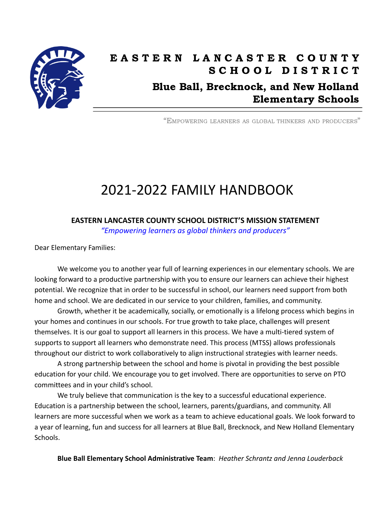

## EASTERN LANCASTER COUNTY S C H O O L D I S T R I C T Blue Ball, Brecknock, and New Holland Elementary Schools

"EMPOWERING LEARNERS AS GLOBAL THINKERS AND PRODUCERS"

# 2021-2022 FAMILY HANDBOOK

**EASTERN LANCASTER COUNTY SCHOOL DISTRICT'S MISSION STATEMENT**

*"Empowering learners as global thinkers and producers"*

Dear Elementary Families:

We welcome you to another year full of learning experiences in our elementary schools. We are looking forward to a productive partnership with you to ensure our learners can achieve their highest potential. We recognize that in order to be successful in school, our learners need support from both home and school. We are dedicated in our service to your children, families, and community.

Growth, whether it be academically, socially, or emotionally is a lifelong process which begins in your homes and continues in our schools. For true growth to take place, challenges will present themselves. It is our goal to support all learners in this process. We have a multi-tiered system of supports to support all learners who demonstrate need. This process (MTSS) allows professionals throughout our district to work collaboratively to align instructional strategies with learner needs.

A strong partnership between the school and home is pivotal in providing the best possible education for your child. We encourage you to get involved. There are opportunities to serve on PTO committees and in your child's school.

We truly believe that communication is the key to a successful educational experience. Education is a partnership between the school, learners, parents/guardians, and community. All learners are more successful when we work as a team to achieve educational goals. We look forward to a year of learning, fun and success for all learners at Blue Ball, Brecknock, and New Holland Elementary Schools.

**Blue Ball Elementary School Administrative Team**: *Heather Schrantz and Jenna Louderback*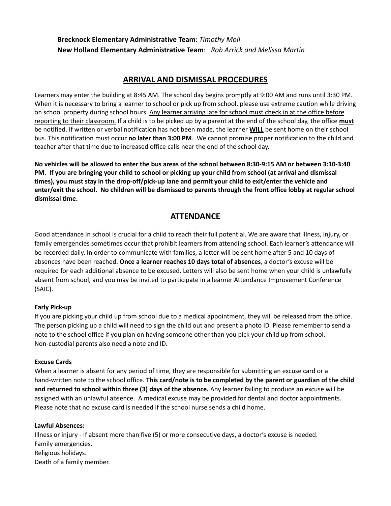### **Brecknock Elementary Administrative Team**: *Timothy Moll* **New Holland Elementary Administrative Team**: *Rob Arrick and Melissa Martin*

### **ARRIVAL AND DISMISSAL PROCEDURES**

Learners may enter the building at 8:45 AM. The school day begins promptly at 9:00 AM and runs until 3:30 PM. When it is necessary to bring a learner to school or pick up from school, please use extreme caution while driving on school property during school hours. Any learner arriving late for school must check in at the office before reporting to their classroom. If a child is to be picked up by a parent at the end of the school day, the office **must** be notified. If written or verbal notification has not been made, the learner **WILL** be sent home on their school bus. This notification must occur **no later than 3:00 PM**. We cannot promise proper notification to the child and teacher after that time due to increased office calls near the end of the school day.

No vehicles will be allowed to enter the bus areas of the school between 8:30-9:15 AM or between 3:10-3:40 PM. If you are bringing your child to school or picking up your child from school (at arrival and dismissal **times), you must stay in the drop-off/pick-up lane and permit your child to exit/enter the vehicle and** enter/exit the school. No children will be dismissed to parents through the front office lobby at regular school **dismissal time.**

### **ATTENDANCE**

Good attendance in school is crucial for a child to reach their full potential. We are aware that illness, injury, or family emergencies sometimes occur that prohibit learners from attending school. Each learner's attendance will be recorded daily. In order to communicate with families, a letter will be sent home after 5 and 10 days of absences have been reached. **Once a learner reaches 10 days total of absences**, a doctor's excuse will be required for each additional absence to be excused. Letters will also be sent home when your child is unlawfully absent from school, and you may be invited to participate in a learner Attendance Improvement Conference (SAIC).

#### **Early Pick-up**

If you are picking your child up from school due to a medical appointment, they will be released from the office. The person picking up a child will need to sign the child out and present a photo ID. Please remember to send a note to the school office if you plan on having someone other than you pick your child up from school. Non-custodial parents also need a note and ID.

#### **Excuse Cards**

When a learner is absent for any period of time, they are responsible for submitting an excuse card or a hand-written note to the school office. **This card/note is to be completed by the parent or guardian of the child and returned to school within three (3) days of the absence.** Any learner failing to produce an excuse will be assigned with an unlawful absence. A medical excuse may be provided for dental and doctor appointments. Please note that no excuse card is needed if the school nurse sends a child home.

#### **Lawful Absences:**

Illness or injury - If absent more than five (5) or more consecutive days, a doctor's excuse is needed. Family emergencies. Religious holidays. Death of a family member.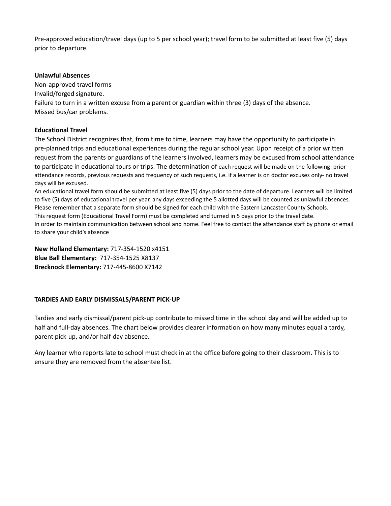Pre-approved education/travel days (up to 5 per school year); travel form to be submitted at least five (5) days prior to departure.

#### **Unlawful Absences**

Non-approved travel forms Invalid/forged signature. Failure to turn in a written excuse from a parent or guardian within three (3) days of the absence. Missed bus/car problems.

#### **Educational Travel**

The School District recognizes that, from time to time, learners may have the opportunity to participate in pre-planned trips and educational experiences during the regular school year. Upon receipt of a prior written request from the parents or guardians of the learners involved, learners may be excused from school attendance to participate in educational tours or trips. The determination of each request will be made on the following: prior attendance records, previous requests and frequency of such requests, i.e. if a learner is on doctor excuses only- no travel days will be excused.

An educational travel form should be submitted at least five (5) days prior to the date of departure. Learners will be limited to five (5) days of educational travel per year, any days exceeding the 5 allotted days will be counted as unlawful absences. Please remember that a separate form should be signed for each child with the Eastern Lancaster County Schools. This request form (Educational Travel Form) must be completed and turned in 5 days prior to the travel date. In order to maintain communication between school and home. Feel free to contact the attendance staff by phone or email to share your child's absence

**New Holland Elementary:** 717-354-1520 x4151 **Blue Ball Elementary:** 717-354-1525 X8137 **Brecknock Elementary:** 717-445-8600 X7142

#### **TARDIES AND EARLY DISMISSALS/PARENT PICK-UP**

Tardies and early dismissal/parent pick-up contribute to missed time in the school day and will be added up to half and full-day absences. The chart below provides clearer information on how many minutes equal a tardy, parent pick-up, and/or half-day absence.

Any learner who reports late to school must check in at the office before going to their classroom. This is to ensure they are removed from the absentee list.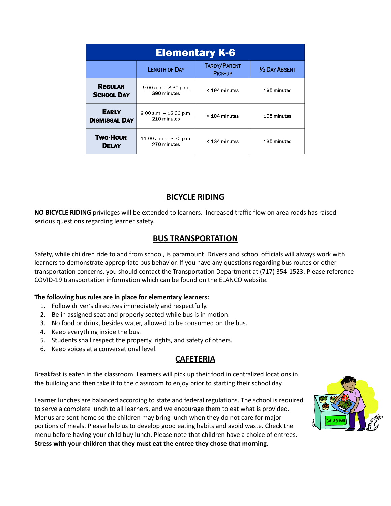| <b>Elementary K-6</b>                |                                          |                         |                       |  |
|--------------------------------------|------------------------------------------|-------------------------|-----------------------|--|
|                                      | <b>LENGTH OF DAY</b>                     | TARDY/PARENT<br>PICK-UP | <b>1/2 DAY ABSENT</b> |  |
| <b>REGULAR</b><br><b>SCHOOL DAY</b>  | $9:00$ a.m - 3:30 p.m.<br>390 minutes    | < 194 minutes           | 195 minutes           |  |
| <b>EARLY</b><br><b>DISMISSAL DAY</b> | $9:00$ a.m. $-12:30$ p.m.<br>210 minutes | < 104 minutes           | 105 minutes           |  |
| <b>Two-Hour</b><br><b>DELAY</b>      | $11:00$ a.m. $-3:30$ p.m.<br>270 minutes | < 134 minutes           | 135 minutes           |  |

### **BICYCLE RIDING**

**NO BICYCLE RIDING** privileges will be extended to learners. Increased traffic flow on area roads has raised serious questions regarding learner safety.

### **BUS TRANSPORTATION**

Safety, while children ride to and from school, is paramount. Drivers and school officials will always work with learners to demonstrate appropriate bus behavior. If you have any questions regarding bus routes or other transportation concerns, you should contact the Transportation Department at (717) 354-1523. Please reference COVID-19 transportation information which can be found on the ELANCO website.

#### **The following bus rules are in place for elementary learners:**

- 1. Follow driver's directives immediately and respectfully.
- 2. Be in assigned seat and properly seated while bus is in motion.
- 3. No food or drink, besides water, allowed to be consumed on the bus.
- 4. Keep everything inside the bus.
- 5. Students shall respect the property, rights, and safety of others.
- 6. Keep voices at a conversational level.

### **CAFETERIA**

Breakfast is eaten in the classroom. Learners will pick up their food in centralized locations in the building and then take it to the classroom to enjoy prior to starting their school day.

Learner lunches are balanced according to state and federal regulations. The school is required to serve a complete lunch to all learners, and we encourage them to eat what is provided. Menus are sent home so the children may bring lunch when they do not care for major portions of meals. Please help us to develop good eating habits and avoid waste. Check the menu before having your child buy lunch. Please note that children have a choice of entrees. **Stress with your children that they must eat the entree they chose that morning.**

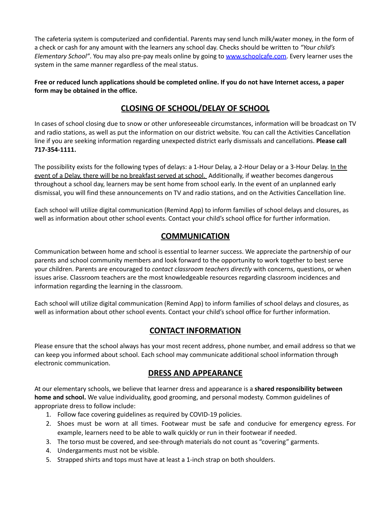The cafeteria system is computerized and confidential. Parents may send lunch milk/water money, in the form of a check or cash for any amount with the learners any school day. Checks should be written to *"Your child's Elementary School"*. You may also pre-pay meals online by going to [www.schoolcafe.com.](http://www.schoolcafe.com/) Every learner uses the system in the same manner regardless of the meal status.

Free or reduced lunch applications should be completed online. If you do not have Internet access, a paper **form may be obtained in the office.**

### **CLOSING OF SCHOOL/DELAY OF SCHOOL**

In cases of school closing due to snow or other unforeseeable circumstances, information will be broadcast on TV and radio stations, as well as put the information on our district website. You can call the Activities Cancellation line if you are seeking information regarding unexpected district early dismissals and cancellations. **Please call 717-354-1111.**

The possibility exists for the following types of delays: a 1-Hour Delay, a 2-Hour Delay or a 3-Hour Delay. In the event of a Delay, there will be no breakfast served at school. Additionally, if weather becomes dangerous throughout a school day, learners may be sent home from school early. In the event of an unplanned early dismissal, you will find these announcements on TV and radio stations, and on the Activities Cancellation line.

Each school will utilize digital communication (Remind App) to inform families of school delays and closures, as well as information about other school events. Contact your child's school office for further information.

### **COMMUNICATION**

Communication between home and school is essential to learner success. We appreciate the partnership of our parents and school community members and look forward to the opportunity to work together to best serve your children. Parents are encouraged to *contact classroom teachers directly* with concerns, questions, or when issues arise. Classroom teachers are the most knowledgeable resources regarding classroom incidences and information regarding the learning in the classroom.

Each school will utilize digital communication (Remind App) to inform families of school delays and closures, as well as information about other school events. Contact your child's school office for further information.

### **CONTACT INFORMATION**

Please ensure that the school always has your most recent address, phone number, and email address so that we can keep you informed about school. Each school may communicate additional school information through electronic communication.

### **DRESS AND APPEARANCE**

At our elementary schools, we believe that learner dress and appearance is a **shared responsibility between home and school.** We value individuality, good grooming, and personal modesty. Common guidelines of appropriate dress to follow include:

- 1. Follow face covering guidelines as required by COVID-19 policies.
- 2. Shoes must be worn at all times. Footwear must be safe and conducive for emergency egress. For example, learners need to be able to walk quickly or run in their footwear if needed.
- 3. The torso must be covered, and see-through materials do not count as "covering" garments.
- 4. Undergarments must not be visible.
- 5. Strapped shirts and tops must have at least a 1-inch strap on both shoulders.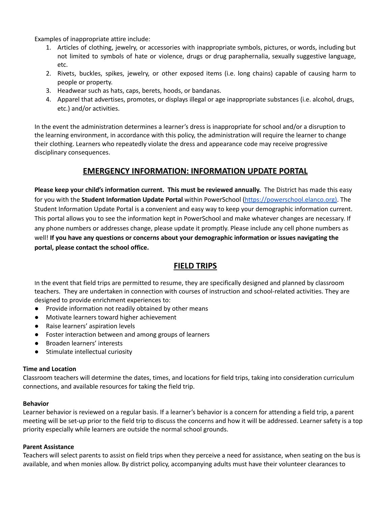Examples of inappropriate attire include:

- 1. Articles of clothing, jewelry, or accessories with inappropriate symbols, pictures, or words, including but not limited to symbols of hate or violence, drugs or drug paraphernalia, sexually suggestive language, etc.
- 2. Rivets, buckles, spikes, jewelry, or other exposed items (i.e. long chains) capable of causing harm to people or property.
- 3. Headwear such as hats, caps, berets, hoods, or bandanas.
- 4. Apparel that advertises, promotes, or displays illegal or age inappropriate substances (i.e. alcohol, drugs, etc.) and/or activities.

In the event the administration determines a learner's dress is inappropriate for school and/or a disruption to the learning environment, in accordance with this policy, the administration will require the learner to change their clothing. Learners who repeatedly violate the dress and appearance code may receive progressive disciplinary consequences.

### **EMERGENCY INFORMATION: INFORMATION UPDATE PORTAL**

**Please keep your child's information current. This must be reviewed annually.** The District has made this easy for you with the **Student Information Update Portal** within PowerSchool [\(https://powerschool.elanco.org\).](https://powerschool.elanco.org/) The Student Information Update Portal is a convenient and easy way to keep your demographic information current. This portal allows you to see the information kept in PowerSchool and make whatever changes are necessary. If any phone numbers or addresses change, please update it promptly. Please include any cell phone numbers as well! **If you have any questions or concerns about your demographic information or issues navigating the portal, please contact the school office.**

### **FIELD TRIPS**

In the event that field trips are permitted to resume, they are specifically designed and planned by classroom teachers. They are undertaken in connection with courses of instruction and school-related activities. They are designed to provide enrichment experiences to:

- Provide information not readily obtained by other means
- Motivate learners toward higher achievement
- Raise learners' aspiration levels
- Foster interaction between and among groups of learners
- Broaden learners' interests
- Stimulate intellectual curiosity

#### **Time and Location**

Classroom teachers will determine the dates, times, and locations for field trips, taking into consideration curriculum connections, and available resources for taking the field trip.

#### **Behavior**

Learner behavior is reviewed on a regular basis. If a learner's behavior is a concern for attending a field trip, a parent meeting will be set-up prior to the field trip to discuss the concerns and how it will be addressed. Learner safety is a top priority especially while learners are outside the normal school grounds.

#### **Parent Assistance**

Teachers will select parents to assist on field trips when they perceive a need for assistance, when seating on the bus is available, and when monies allow. By district policy, accompanying adults must have their volunteer clearances to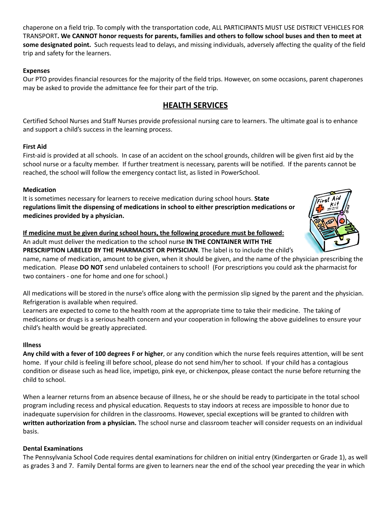chaperone on a field trip. To comply with the transportation code, ALL PARTICIPANTS MUST USE DISTRICT VEHICLES FOR TRANSPORT. We CANNOT honor requests for parents, families and others to follow school buses and then to meet at **some designated point.** Such requests lead to delays, and missing individuals, adversely affecting the quality of the field trip and safety for the learners.

#### **Expenses**

Our PTO provides financial resources for the majority of the field trips. However, on some occasions, parent chaperones may be asked to provide the admittance fee for their part of the trip.

### **HEALTH SERVICES**

Certified School Nurses and Staff Nurses provide professional nursing care to learners. The ultimate goal is to enhance and support a child's success in the learning process.

#### **First Aid**

First-aid is provided at all schools. In case of an accident on the school grounds, children will be given first aid by the school nurse or a faculty member. If further treatment is necessary, parents will be notified. If the parents cannot be reached, the school will follow the emergency contact list, as listed in PowerSchool.

#### **Medication**

It is sometimes necessary for learners to receive medication during school hours. **State regulations limit the dispensing of medications in school to either prescription medications or medicines provided by a physician.**

#### **If medicine must be given during school hours, the following procedure must be followed:** An adult must deliver the medication to the school nurse **IN THE CONTAINER WITH THE PRESCRIPTION LABELED BY THE PHARMACIST OR PHYSICIAN**. The label is to include the child's

name, name of medication, amount to be given, when it should be given, and the name of the physician prescribing the medication. Please **DO NOT** send unlabeled containers to school! (For prescriptions you could ask the pharmacist for two containers - one for home and one for school.)

All medications will be stored in the nurse's office along with the permission slip signed by the parent and the physician. Refrigeration is available when required.

Learners are expected to come to the health room at the appropriate time to take their medicine. The taking of medications or drugs is a serious health concern and your cooperation in following the above guidelines to ensure your child's health would be greatly appreciated.

#### **Illness**

**Any child with a fever of 100 degrees F or higher**, or any condition which the nurse feels requires attention, will be sent home. If your child is feeling ill before school, please do not send him/her to school. If your child has a contagious condition or disease such as head lice, impetigo, pink eye, or chickenpox, please contact the nurse before returning the child to school.

When a learner returns from an absence because of illness, he or she should be ready to participate in the total school program including recess and physical education. Requests to stay indoors at recess are impossible to honor due to inadequate supervision for children in the classrooms. However, special exceptions will be granted to children with **written authorization from a physician.** The school nurse and classroom teacher will consider requests on an individual basis.

#### **Dental Examinations**

The Pennsylvania School Code requires dental examinations for children on initial entry (Kindergarten or Grade 1), as well as grades 3 and 7. Family Dental forms are given to learners near the end of the school year preceding the year in which

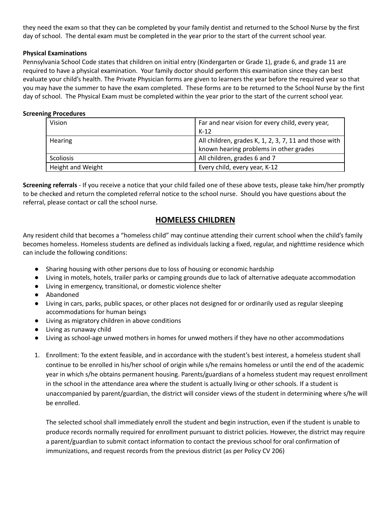they need the exam so that they can be completed by your family dentist and returned to the School Nurse by the first day of school. The dental exam must be completed in the year prior to the start of the current school year.

#### **Physical Examinations**

Pennsylvania School Code states that children on initial entry (Kindergarten or Grade 1), grade 6, and grade 11 are required to have a physical examination. Your family doctor should perform this examination since they can best evaluate your child's health. The Private Physician forms are given to learners the year before the required year so that you may have the summer to have the exam completed. These forms are to be returned to the School Nurse by the first day of school. The Physical Exam must be completed within the year prior to the start of the current school year.

#### **Screening Procedures**

| Vision                   | Far and near vision for every child, every year,      |  |
|--------------------------|-------------------------------------------------------|--|
|                          | $K-12$                                                |  |
| Hearing                  | All children, grades K, 1, 2, 3, 7, 11 and those with |  |
|                          | known hearing problems in other grades                |  |
| Scoliosis                | All children, grades 6 and 7                          |  |
| <b>Height and Weight</b> | Every child, every year, K-12                         |  |

**Screening referrals** - If you receive a notice that your child failed one of these above tests, please take him/her promptly to be checked and return the completed referral notice to the school nurse. Should you have questions about the referral, please contact or call the school nurse.

### **HOMELESS CHILDREN**

Any resident child that becomes a "homeless child" may continue attending their current school when the child's family becomes homeless. Homeless students are defined as individuals lacking a fixed, regular, and nighttime residence which can include the following conditions:

- Sharing housing with other persons due to loss of housing or economic hardship
- Living in motels, hotels, trailer parks or camping grounds due to lack of alternative adequate accommodation
- Living in emergency, transitional, or domestic violence shelter
- Abandoned
- Living in cars, parks, public spaces, or other places not designed for or ordinarily used as regular sleeping accommodations for human beings
- Living as migratory children in above conditions
- Living as runaway child
- Living as school-age unwed mothers in homes for unwed mothers if they have no other accommodations
- 1. Enrollment: To the extent feasible, and in accordance with the student's best interest, a homeless student shall continue to be enrolled in his/her school of origin while s/he remains homeless or until the end of the academic year in which s/he obtains permanent housing. Parents/guardians of a homeless student may request enrollment in the school in the attendance area where the student is actually living or other schools. If a student is unaccompanied by parent/guardian, the district will consider views of the student in determining where s/he will be enrolled.

The selected school shall immediately enroll the student and begin instruction, even if the student is unable to produce records normally required for enrollment pursuant to district policies. However, the district may require a parent/guardian to submit contact information to contact the previous school for oral confirmation of immunizations, and request records from the previous district (as per Policy CV 206)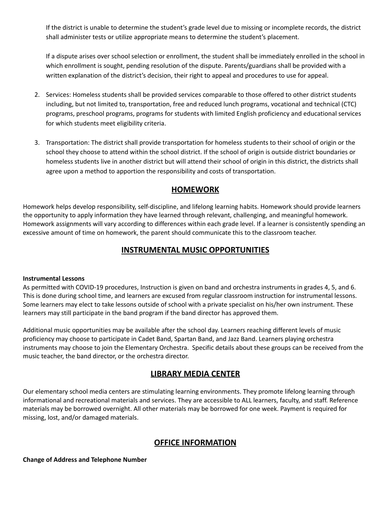If the district is unable to determine the student's grade level due to missing or incomplete records, the district shall administer tests or utilize appropriate means to determine the student's placement.

If a dispute arises over school selection or enrollment, the student shall be immediately enrolled in the school in which enrollment is sought, pending resolution of the dispute. Parents/guardians shall be provided with a written explanation of the district's decision, their right to appeal and procedures to use for appeal.

- 2. Services: Homeless students shall be provided services comparable to those offered to other district students including, but not limited to, transportation, free and reduced lunch programs, vocational and technical (CTC) programs, preschool programs, programs for students with limited English proficiency and educational services for which students meet eligibility criteria.
- 3. Transportation: The district shall provide transportation for homeless students to their school of origin or the school they choose to attend within the school district. If the school of origin is outside district boundaries or homeless students live in another district but will attend their school of origin in this district, the districts shall agree upon a method to apportion the responsibility and costs of transportation.

### **HOMEWORK**

Homework helps develop responsibility, self-discipline, and lifelong learning habits. Homework should provide learners the opportunity to apply information they have learned through relevant, challenging, and meaningful homework. Homework assignments will vary according to differences within each grade level. If a learner is consistently spending an excessive amount of time on homework, the parent should communicate this to the classroom teacher.

### **INSTRUMENTAL MUSIC OPPORTUNITIES**

#### **Instrumental Lessons**

As permitted with COVID-19 procedures, Instruction is given on band and orchestra instruments in grades 4, 5, and 6. This is done during school time, and learners are excused from regular classroom instruction for instrumental lessons. Some learners may elect to take lessons outside of school with a private specialist on his/her own instrument. These learners may still participate in the band program if the band director has approved them.

Additional music opportunities may be available after the school day. Learners reaching different levels of music proficiency may choose to participate in Cadet Band, Spartan Band, and Jazz Band. Learners playing orchestra instruments may choose to join the Elementary Orchestra. Specific details about these groups can be received from the music teacher, the band director, or the orchestra director.

### **LIBRARY MEDIA CENTER**

Our elementary school media centers are stimulating learning environments. They promote lifelong learning through informational and recreational materials and services. They are accessible to ALL learners, faculty, and staff. Reference materials may be borrowed overnight. All other materials may be borrowed for one week. Payment is required for missing, lost, and/or damaged materials.

### **OFFICE INFORMATION**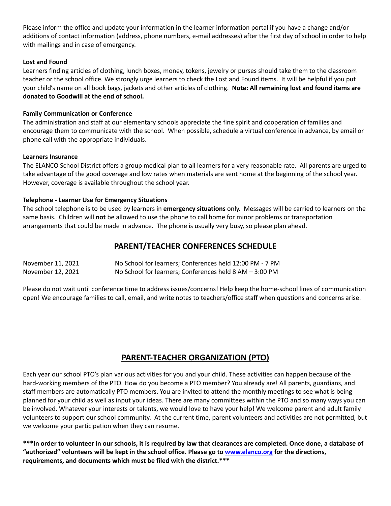Please inform the office and update your information in the learner information portal if you have a change and/or additions of contact information (address, phone numbers, e-mail addresses) after the first day of school in order to help with mailings and in case of emergency.

#### **Lost and Found**

Learners finding articles of clothing, lunch boxes, money, tokens, jewelry or purses should take them to the classroom teacher or the school office. We strongly urge learners to check the Lost and Found items. It will be helpful if you put your child's name on all book bags, jackets and other articles of clothing. **Note: All remaining lost and found items are donated to Goodwill at the end of school.**

#### **Family Communication or Conference**

The administration and staff at our elementary schools appreciate the fine spirit and cooperation of families and encourage them to communicate with the school. When possible, schedule a virtual conference in advance, by email or phone call with the appropriate individuals.

#### **Learners Insurance**

The ELANCO School District offers a group medical plan to all learners for a very reasonable rate. All parents are urged to take advantage of the good coverage and low rates when materials are sent home at the beginning of the school year. However, coverage is available throughout the school year.

#### **Telephone - Learner Use for Emergency Situations**

The school telephone is to be used by learners in **emergency situations** only. Messages will be carried to learners on the same basis. Children will **not** be allowed to use the phone to call home for minor problems or transportation arrangements that could be made in advance. The phone is usually very busy, so please plan ahead.

### **PARENT/TEACHER CONFERENCES SCHEDULE**

| November 11, 2021 | No School for learners; Conferences held 12:00 PM - 7 PM |
|-------------------|----------------------------------------------------------|
| November 12, 2021 | No School for learners; Conferences held 8 AM - 3:00 PM  |

Please do not wait until conference time to address issues/concerns! Help keep the home-school lines of communication open! We encourage families to call, email, and write notes to teachers/office staff when questions and concerns arise.

### **PARENT-TEACHER ORGANIZATION (PTO)**

Each year our school PTO's plan various activities for you and your child. These activities can happen because of the hard-working members of the PTO. How do you become a PTO member? You already are! All parents, guardians, and staff members are automatically PTO members. You are invited to attend the monthly meetings to see what is being planned for your child as well as input your ideas. There are many committees within the PTO and so many ways you can be involved. Whatever your interests or talents, we would love to have your help! We welcome parent and adult family volunteers to support our school community. At the current time, parent volunteers and activities are not permitted, but we welcome your participation when they can resume.

\*\*\*In order to volunteer in our schools, it is required by law that clearances are completed. Once done, a database of **"authorized" volunteers will be kept in the school office. Please go to [www.elanco.org](http://www.elanco.org) for the directions, requirements, and documents which must be filed with the district.\*\*\***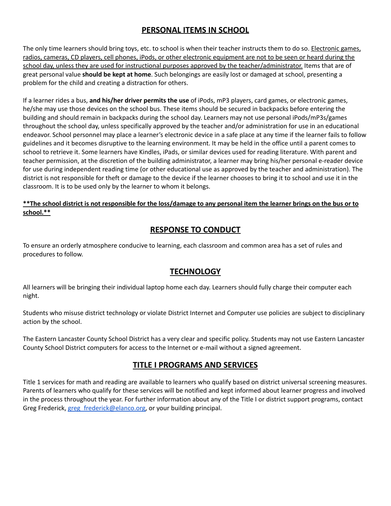### **PERSONAL ITEMS IN SCHOOL**

The only time learners should bring toys, etc. to school is when their teacher instructs them to do so. Electronic games, radios, cameras, CD players, cell phones, iPods, or other electronic equipment are not to be seen or heard during the school day, unless they are used for instructional purposes approved by the teacher/administrator. Items that are of great personal value **should be kept at home**. Such belongings are easily lost or damaged at school, presenting a problem for the child and creating a distraction for others.

If a learner rides a bus, **and his/her driver permits the use** of iPods, mP3 players, card games, or electronic games, he/she may use those devices on the school bus. These items should be secured in backpacks before entering the building and should remain in backpacks during the school day. Learners may not use personal iPods/mP3s/games throughout the school day, unless specifically approved by the teacher and/or administration for use in an educational endeavor. School personnel may place a learner's electronic device in a safe place at any time if the learner fails to follow guidelines and it becomes disruptive to the learning environment. It may be held in the office until a parent comes to school to retrieve it. Some learners have Kindles, iPads, or similar devices used for reading literature. With parent and teacher permission, at the discretion of the building administrator, a learner may bring his/her personal e-reader device for use during independent reading time (or other educational use as approved by the teacher and administration). The district is not responsible for theft or damage to the device if the learner chooses to bring it to school and use it in the classroom. It is to be used only by the learner to whom it belongs.

#### \*\* The school district is not responsible for the loss/damage to any personal item the learner brings on the bus or to **school.\*\***

### **RESPONSE TO CONDUCT**

To ensure an orderly atmosphere conducive to learning, each classroom and common area has a set of rules and procedures to follow.

### **TECHNOLOGY**

All learners will be bringing their individual laptop home each day. Learners should fully charge their computer each night.

Students who misuse district technology or violate District Internet and Computer use policies are subject to disciplinary action by the school.

The Eastern Lancaster County School District has a very clear and specific policy. Students may not use Eastern Lancaster County School District computers for access to the Internet or e-mail without a signed agreement.

### **TITLE I PROGRAMS AND SERVICES**

Title 1 services for math and reading are available to learners who qualify based on district universal screening measures. Parents of learners who qualify for these services will be notified and kept informed about learner progress and involved in the process throughout the year. For further information about any of the Title I or district support programs, contact Greg Frederick, [greg\\_frederick@elanco.org,](mailto:greg_frederick@elanco.org) or your building principal.